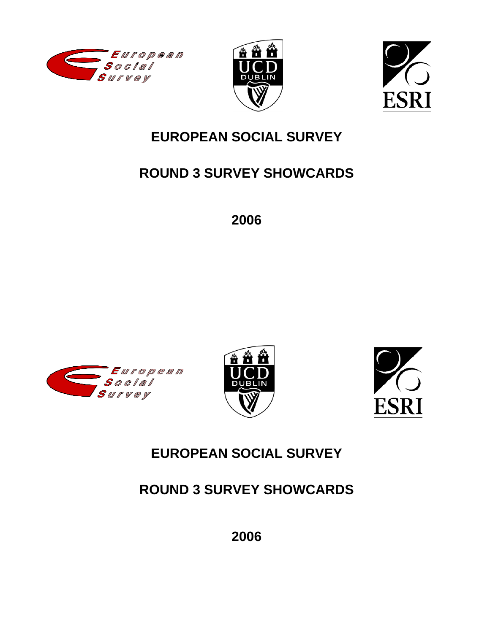





# **EUROPEAN SOCIAL SURVEY**

# **ROUND 3 SURVEY SHOWCARDS**

**2006** 







# **EUROPEAN SOCIAL SURVEY**

# **ROUND 3 SURVEY SHOWCARDS**

**2006**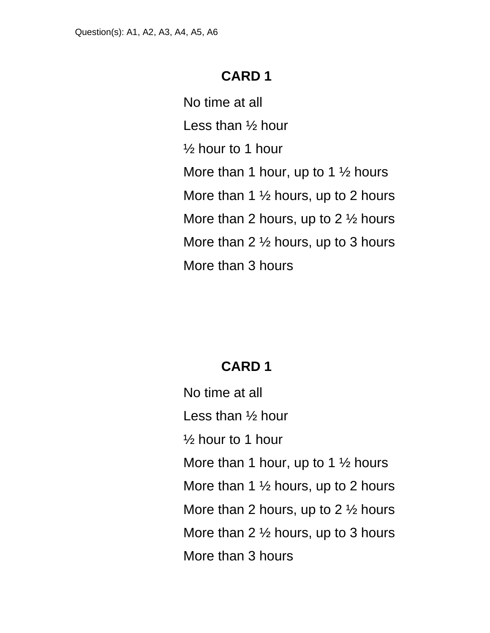No time at all Less than ½ hour  $\frac{1}{2}$  hour to 1 hour More than 1 hour, up to 1  $\frac{1}{2}$  hours More than 1 ½ hours, up to 2 hours More than 2 hours, up to 2 ½ hours More than 2 ½ hours, up to 3 hours More than 3 hours

# **CARD 1**

No time at all Less than ½ hour  $\frac{1}{2}$  hour to 1 hour More than 1 hour, up to 1  $\frac{1}{2}$  hours More than 1  $\frac{1}{2}$  hours, up to 2 hours More than 2 hours, up to 2 ½ hours More than 2 ½ hours, up to 3 hours More than 3 hours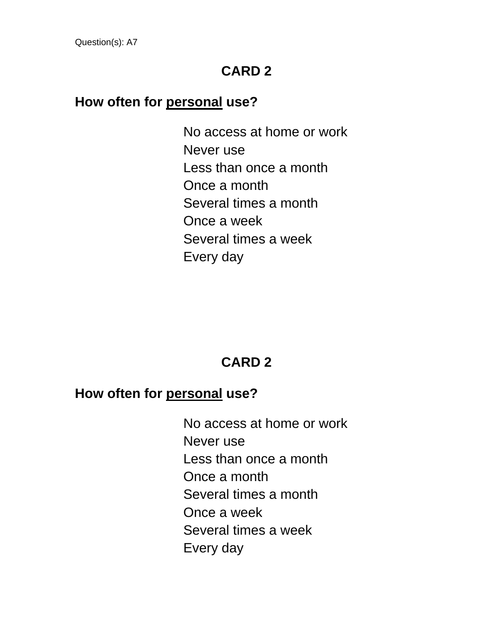#### **How often for personal use?**

No access at home or work Never use Less than once a month Once a month Several times a month Once a week Several times a week Every day

# **CARD 2**

## **How often for personal use?**

No access at home or work Never use Less than once a month Once a month Several times a month Once a week Several times a week Every day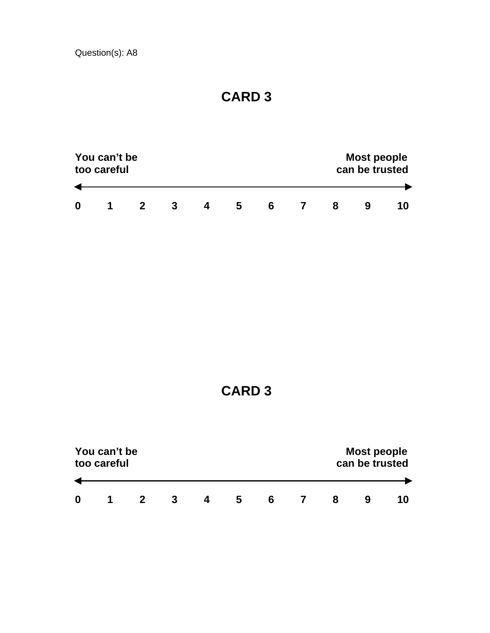|   | You can't be<br>too careful |  |  |    |   | <b>Most people</b><br>can be trusted |  |  |
|---|-----------------------------|--|--|----|---|--------------------------------------|--|--|
|   |                             |  |  |    |   |                                      |  |  |
| 0 |                             |  |  | C. | h |                                      |  |  |

|   | You can't be<br>too careful |   |   | Most people<br>can be trusted |   |   |   |  |    |
|---|-----------------------------|---|---|-------------------------------|---|---|---|--|----|
|   |                             |   |   |                               |   |   |   |  |    |
| 0 |                             | 2 | 3 | 4                             | 5 | 6 | 8 |  | 10 |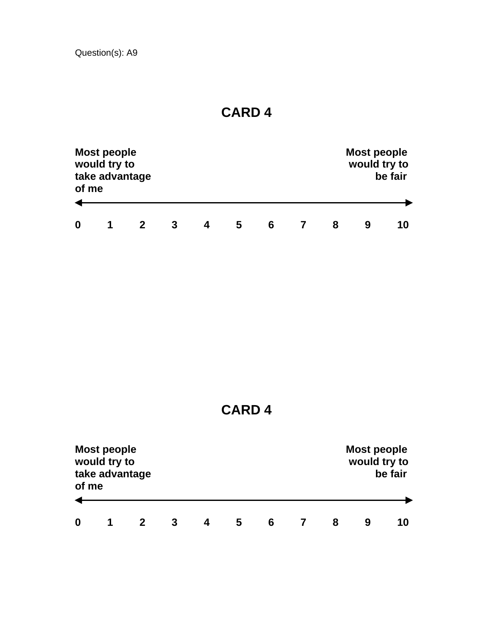Question(s): A9

| of me            | <b>Most people</b><br>would try to<br>take advantage |   |   |   |   |   | <b>Most people</b><br>would try to | be fair |
|------------------|------------------------------------------------------|---|---|---|---|---|------------------------------------|---------|
| $\boldsymbol{0}$ |                                                      | 2 | 3 | 5 | 6 | 8 |                                    | 10      |

**CARD 4** 

| of me | <b>Most people</b><br>would try to<br>take advantage |  |   |   |   | <b>Most people</b><br>would try to | be fair |
|-------|------------------------------------------------------|--|---|---|---|------------------------------------|---------|
|       |                                                      |  |   |   |   |                                    |         |
| 0     |                                                      |  | b | 6 | 8 |                                    | 10      |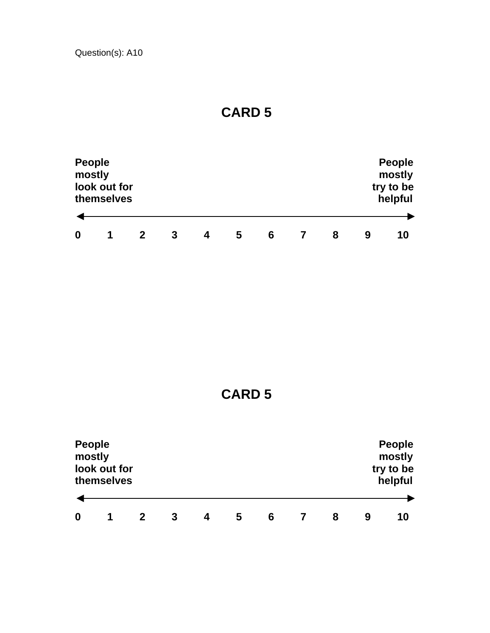| <b>People</b><br>mostly | look out for<br>themselves |   |   |   |   |   |   | <b>People</b><br>mostly<br>try to be<br>helpful |
|-------------------------|----------------------------|---|---|---|---|---|---|-------------------------------------------------|
| 0                       |                            | 3 | 4 | 5 | 6 | 8 | 9 | 10                                              |

**CARD 5** 

| <b>People</b><br>mostly | look out for<br>themselves |   |    |  |  | <b>People</b><br>mostly<br>try to be<br>helpful |
|-------------------------|----------------------------|---|----|--|--|-------------------------------------------------|
|                         |                            |   |    |  |  |                                                 |
| 0                       | и                          | 9 | 10 |  |  |                                                 |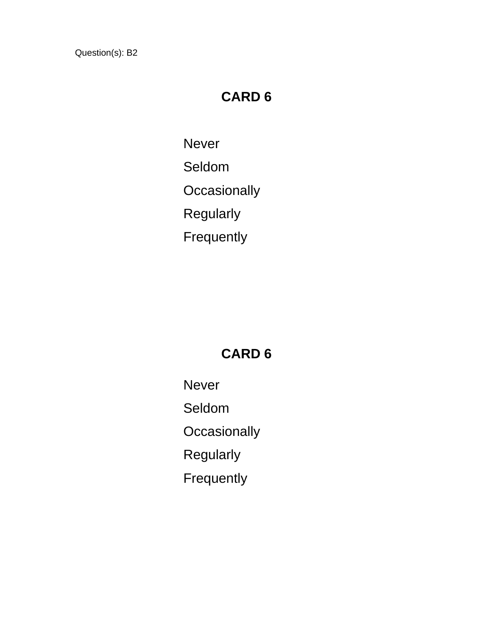# **CARD 6**

Never

Seldom

**Occasionally** 

Regularly

Frequently

## **CARD 6**

Never Seldom **Occasionally**  Regularly Frequently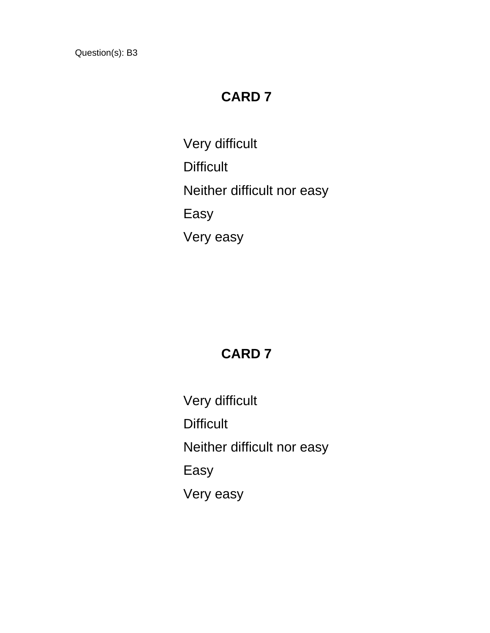# **CARD 7**

Very difficult **Difficult** Neither difficult nor easy Easy Very easy

# **CARD 7**

Very difficult **Difficult** Neither difficult nor easy Easy Very easy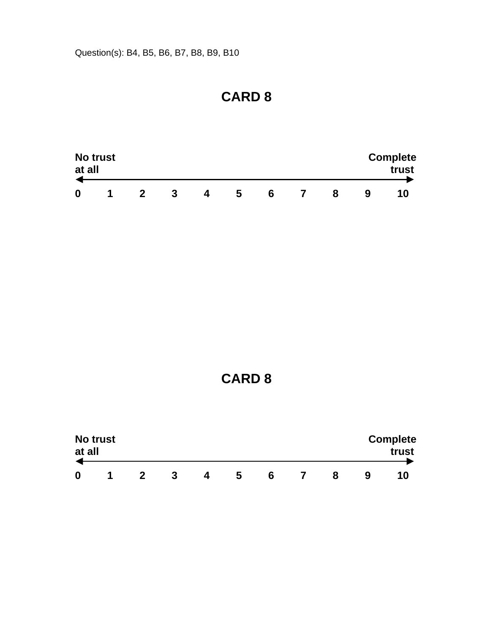Question(s): B4, B5, B6, B7, B8, B9, B10

# **CARD 8**

| at all | <b>No trust</b> |  |   |   |   |   | <b>Complete</b><br>trust |
|--------|-----------------|--|---|---|---|---|--------------------------|
| 0      |                 |  | Д | ა | 6 | 8 |                          |

| at all | <b>No trust</b> |   |   |   |   |   | <b>Complete</b><br>trust |
|--------|-----------------|---|---|---|---|---|--------------------------|
| 0      | и               | 3 | 4 | 5 | 6 | 8 | 10                       |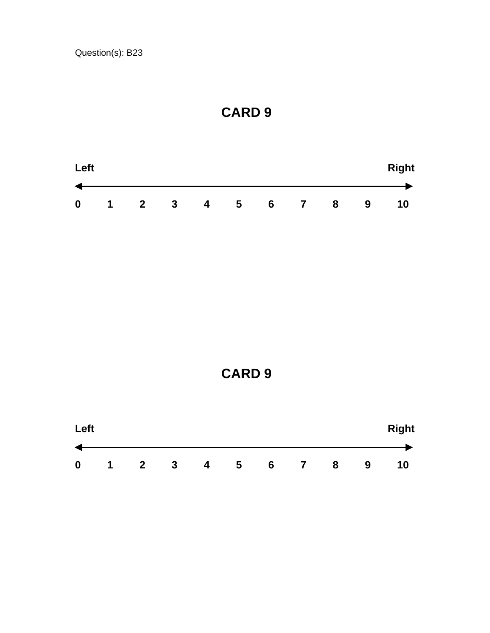



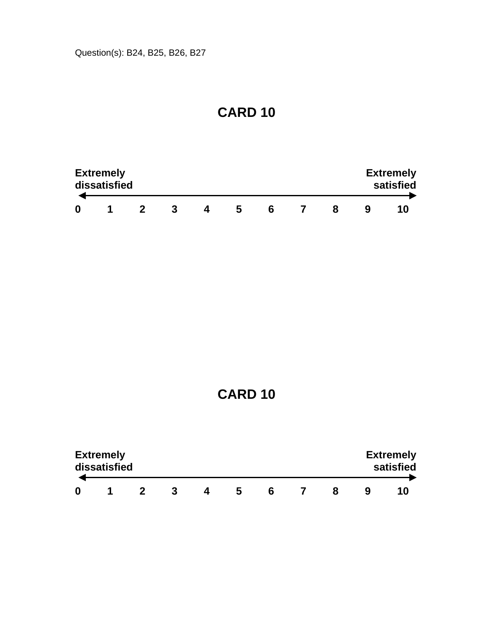| <b>Extremely</b><br>dissatisfied |  |    |  |  | <b>Extremely</b><br>satisfied |
|----------------------------------|--|----|--|--|-------------------------------|
|                                  |  | C. |  |  |                               |

|   | <b>Extremely</b><br>dissatisfied |  |   |   |  | <b>Extremely</b><br>satisfied |
|---|----------------------------------|--|---|---|--|-------------------------------|
| 0 |                                  |  | h | 6 |  |                               |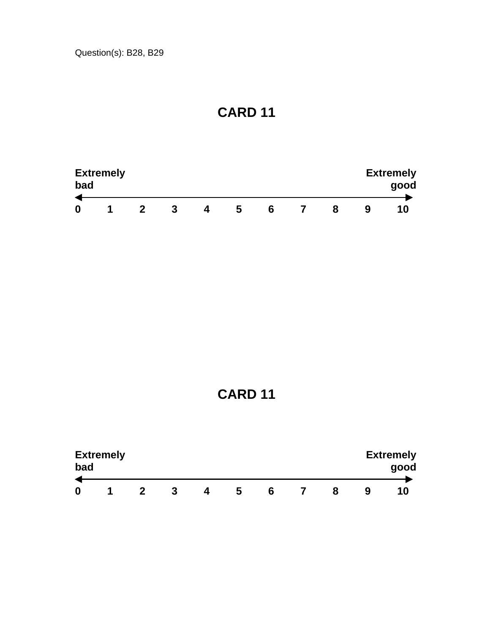| bad | <b>Extremely</b> |  |   |  |  | <b>Extremely</b><br>good |
|-----|------------------|--|---|--|--|--------------------------|
| 0   |                  |  | э |  |  |                          |

**CARD 11** 

| bad | <b>Extremely</b> |  |   |   |  |   | <b>Extremely</b><br>good |
|-----|------------------|--|---|---|--|---|--------------------------|
|     |                  |  | b | 6 |  | 9 | 10                       |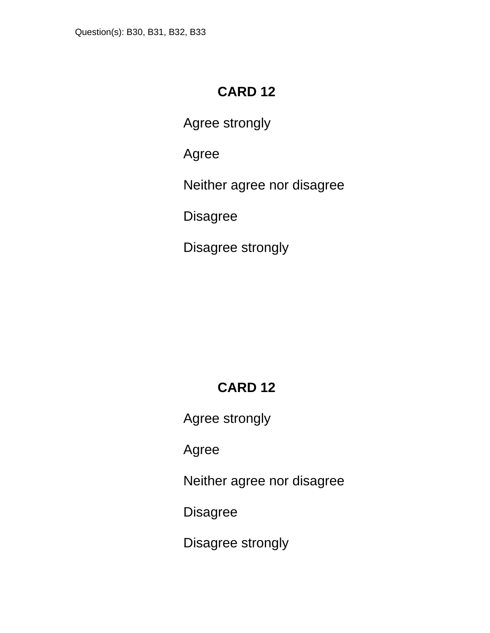Agree strongly

Agree

Neither agree nor disagree

**Disagree** 

Disagree strongly

# **CARD 12**

Agree strongly

Agree

Neither agree nor disagree

**Disagree** 

Disagree strongly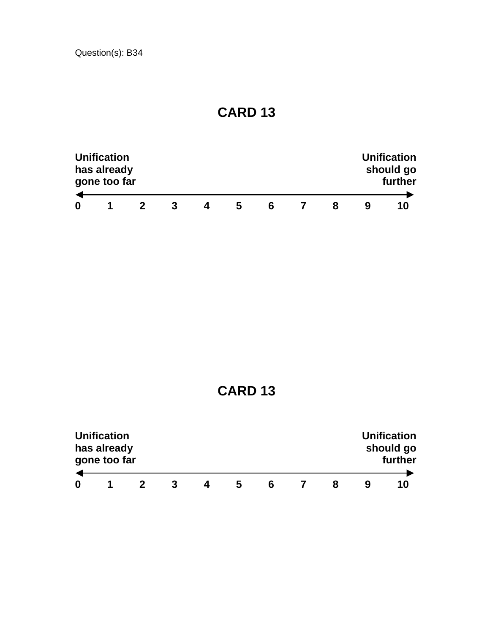|   | <b>Unification</b><br>has already<br>gone too far |   |   |   |   |  | <b>Unification</b><br>should go<br>further |
|---|---------------------------------------------------|---|---|---|---|--|--------------------------------------------|
| 0 |                                                   | 3 | Д | h | h |  | 10                                         |

|   | <b>Unification</b><br>has already<br>gone too far |  |   |   |   |   | <b>Unification</b><br>should go<br>further |
|---|---------------------------------------------------|--|---|---|---|---|--------------------------------------------|
| 0 |                                                   |  | 4 | b | 6 | x | 10                                         |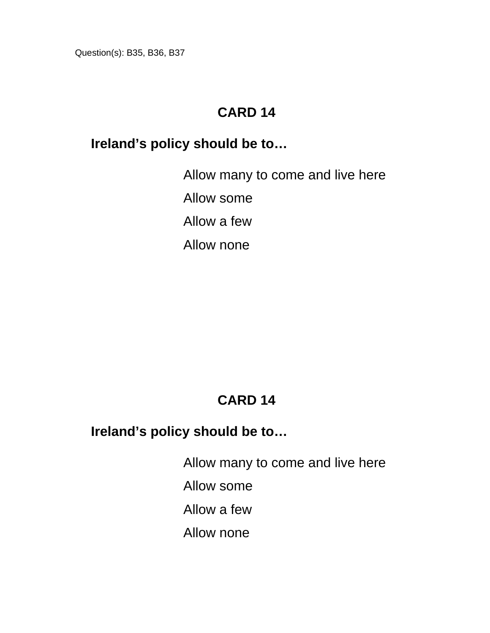Question(s): B35, B36, B37

#### **CARD 14**

#### **Ireland's policy should be to…**

Allow many to come and live here Allow some Allow a few Allow none

# **CARD 14**

#### **Ireland's policy should be to…**

Allow many to come and live here

Allow some

Allow a few

Allow none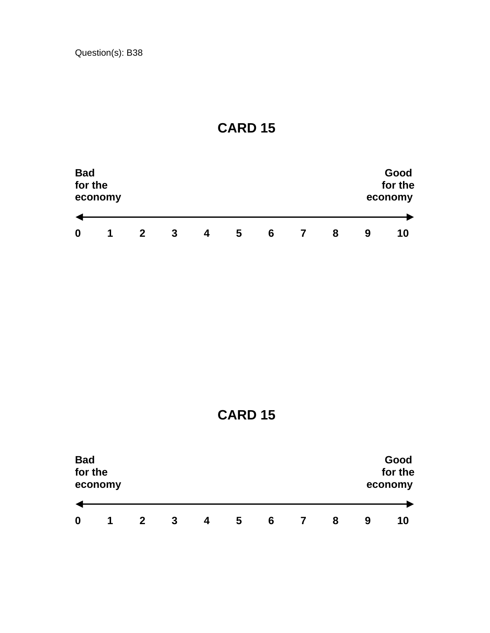

**CARD 15** 

| <b>Bad</b><br>for the | economy              |   |   |   |   |   |  |   | Good<br>for the<br>economy |    |
|-----------------------|----------------------|---|---|---|---|---|--|---|----------------------------|----|
|                       |                      |   |   |   |   |   |  |   |                            |    |
| 0                     | $\blacktriangleleft$ | 2 | 3 | 4 | 5 | 6 |  | 8 | 9                          | 10 |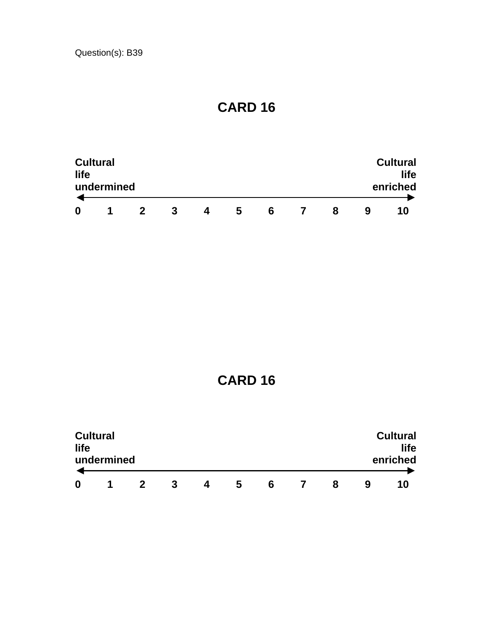| <b>Cultural</b><br>life |            |  |   |   |   |   |  |   |  | <b>Cultural</b><br>life |
|-------------------------|------------|--|---|---|---|---|--|---|--|-------------------------|
|                         | undermined |  |   |   |   |   |  |   |  | enriched                |
| 0                       | п          |  | 3 | Δ | 5 | 6 |  | 8 |  | 1 N                     |

| life | <b>Cultural</b><br>undermined |   |           |   |   |   |   |   | <b>Cultural</b><br>life<br>enriched |
|------|-------------------------------|---|-----------|---|---|---|---|---|-------------------------------------|
| 0    |                               | 2 | $\cdot$ 3 | 4 | 5 | 6 | 8 | 9 | 10                                  |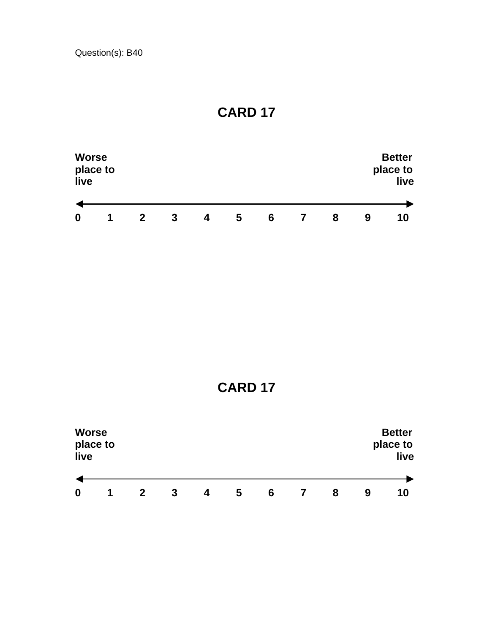

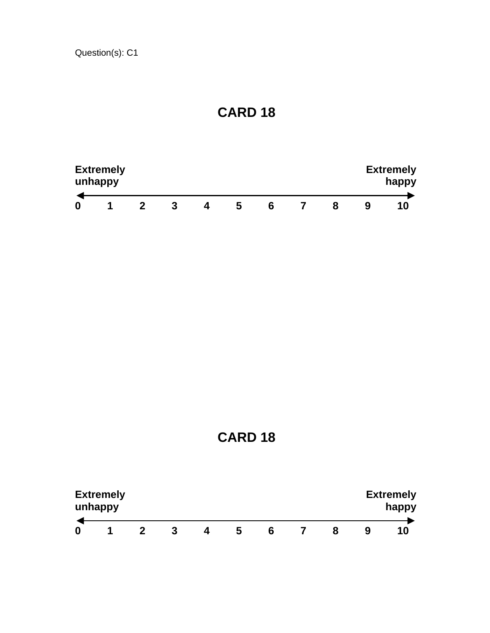| <b>Extremely</b><br>unhappy |  |   |   | <b>Extremely</b><br>happy |  |  |  |
|-----------------------------|--|---|---|---------------------------|--|--|--|
| ×                           |  | ა | h |                           |  |  |  |

**CARD 18** 

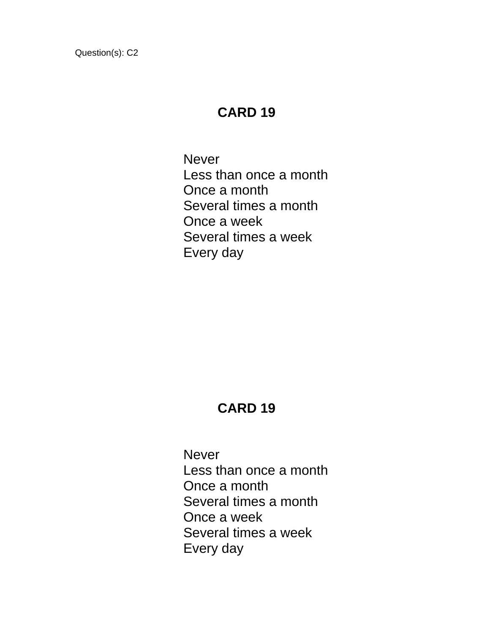#### **CARD 19**

Never Less than once a month Once a month Several times a month Once a week Several times a week Every day

#### **CARD 19**

**Never** Less than once a month Once a month Several times a month Once a week Several times a week Every day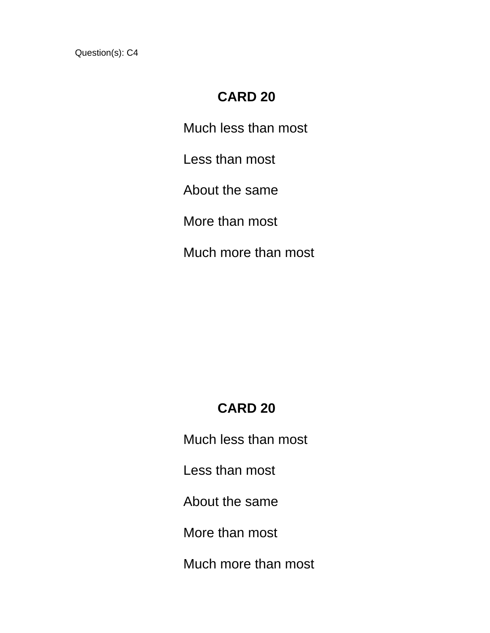#### **CARD 20**

Much less than most

Less than most

About the same

More than most

Much more than most

### **CARD 20**

Much less than most

Less than most

About the same

More than most

Much more than most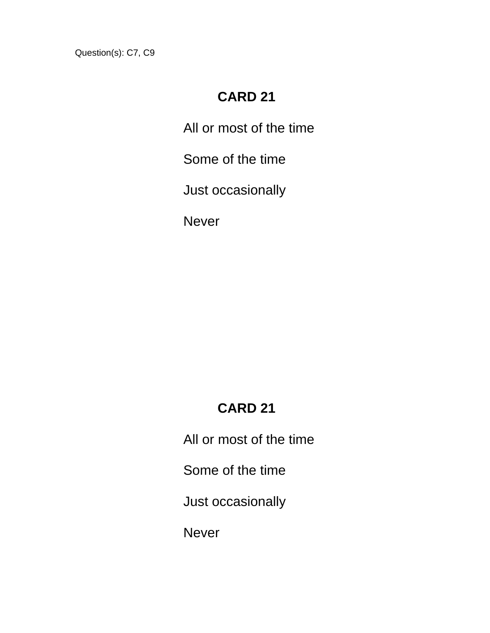Question(s): C7, C9

# **CARD 21**

All or most of the time

Some of the time

Just occasionally

Never

# **CARD 21**

All or most of the time

Some of the time

Just occasionally

Never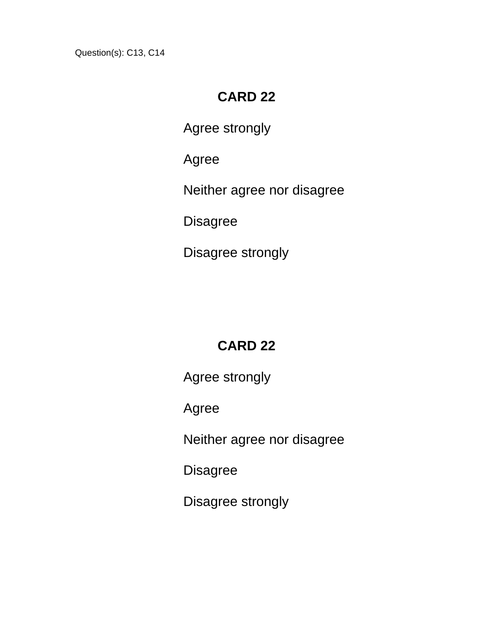Question(s): C13, C14

# **CARD 22**

Agree strongly

Agree

Neither agree nor disagree

**Disagree** 

Disagree strongly

# **CARD 22**

Agree strongly

Agree

Neither agree nor disagree

Disagree

Disagree strongly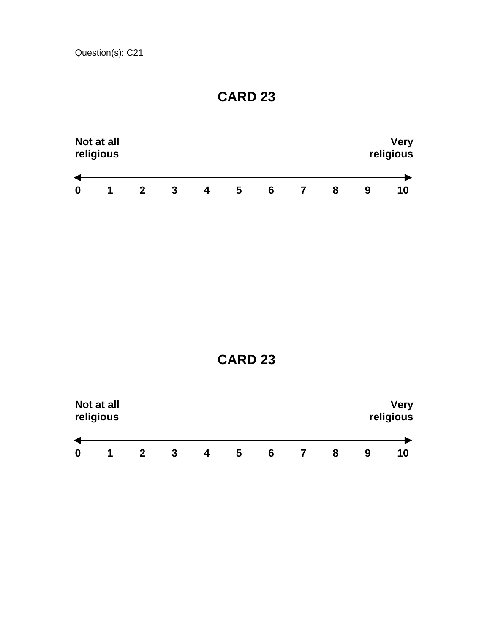|                  | Not at all<br>religious |   |   |   |   |   |   | <b>Very</b><br>religious |
|------------------|-------------------------|---|---|---|---|---|---|--------------------------|
| $\boldsymbol{0}$ | 1                       | 3 |   |   |   |   |   | 10                       |
|                  |                         |   | 4 | 5 | 6 | 8 | 9 |                          |

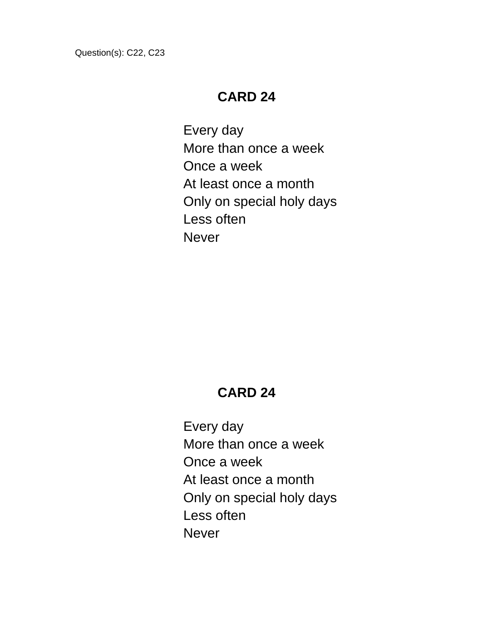Question(s): C22, C23

#### **CARD 24**

Every day More than once a week Once a week At least once a month Only on special holy days Less often **Never** 

# **CARD 24**

Every day More than once a week Once a week At least once a month Only on special holy days Less often **Never**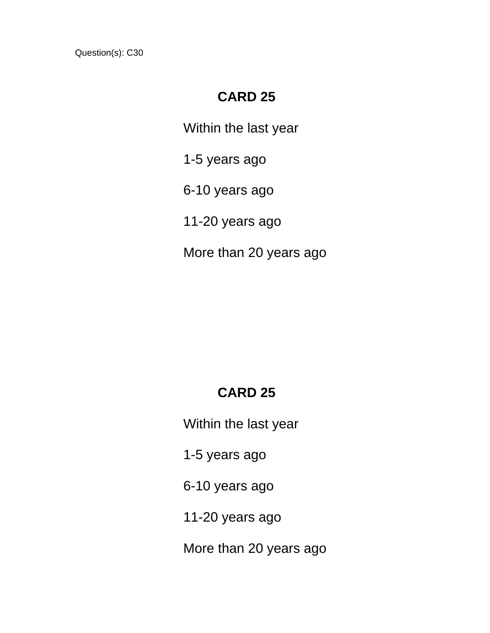#### **CARD 25**

Within the last year

1-5 years ago

6-10 years ago

11-20 years ago

More than 20 years ago

### **CARD 25**

Within the last year

1-5 years ago

6-10 years ago

11-20 years ago

More than 20 years ago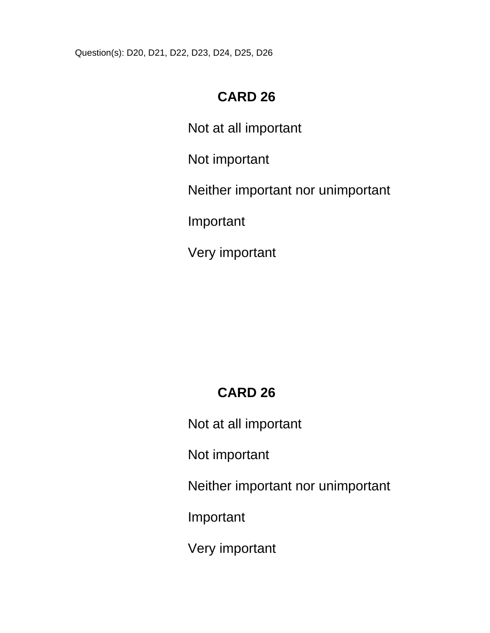Question(s): D20, D21, D22, D23, D24, D25, D26

# **CARD 26**

Not at all important

Not important

Neither important nor unimportant

Important

Very important

# **CARD 26**

Not at all important

Not important

Neither important nor unimportant

Important

Very important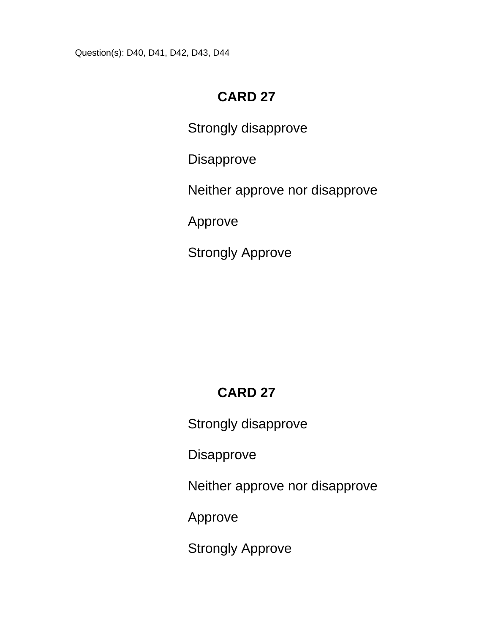Question(s): D40, D41, D42, D43, D44

## **CARD 27**

Strongly disapprove

Disapprove

Neither approve nor disapprove

Approve

Strongly Approve

# **CARD 27**

Strongly disapprove

Disapprove

Neither approve nor disapprove

Approve

Strongly Approve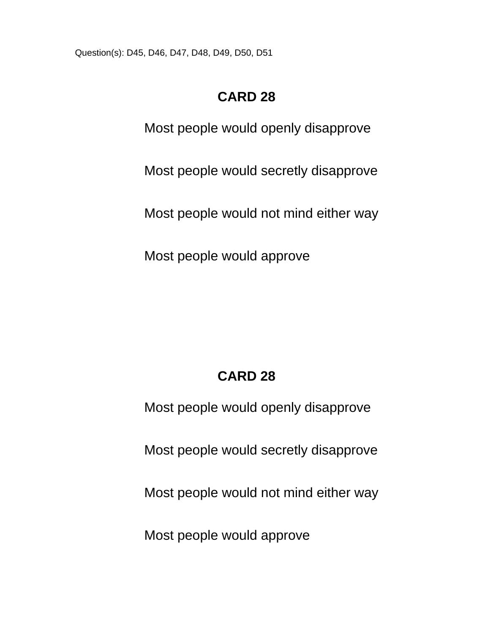Question(s): D45, D46, D47, D48, D49, D50, D51

# **CARD 28**

Most people would openly disapprove

Most people would secretly disapprove

Most people would not mind either way

Most people would approve

# **CARD 28**

Most people would openly disapprove

Most people would secretly disapprove

Most people would not mind either way

Most people would approve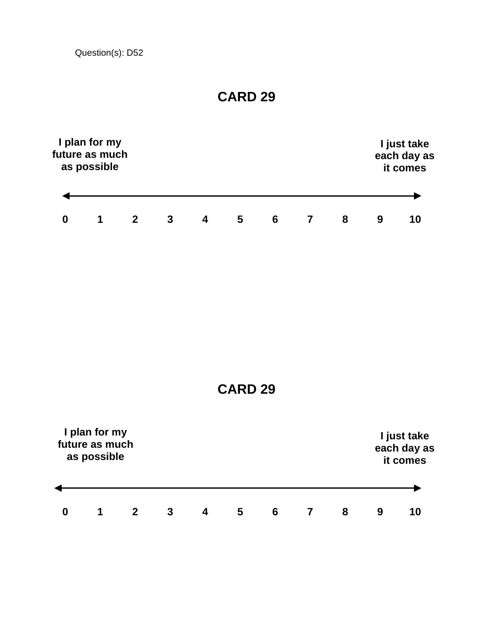Question(s): D52

|                  | I plan for my<br>future as much<br>as possible |                |              |                         |                 |                | I just take<br>each day as<br>it comes |   |                  |                                        |  |
|------------------|------------------------------------------------|----------------|--------------|-------------------------|-----------------|----------------|----------------------------------------|---|------------------|----------------------------------------|--|
|                  |                                                |                |              |                         |                 |                |                                        |   |                  |                                        |  |
| $\mathbf 0$      | $\mathbf 1$                                    | $\overline{2}$ | $\mathbf{3}$ | $\overline{\mathbf{4}}$ | $5\phantom{.0}$ | $6\phantom{1}$ | $\overline{7}$                         | 8 | $\boldsymbol{9}$ | 10                                     |  |
|                  |                                                |                |              |                         | <b>CARD 29</b>  |                |                                        |   |                  |                                        |  |
|                  | I plan for my<br>future as much<br>as possible |                |              |                         |                 |                |                                        |   |                  | I just take<br>each day as<br>it comes |  |
| $\boldsymbol{0}$ | 1                                              | $\mathbf{2}$   | 3            | $\overline{\mathbf{4}}$ | 5               | $6\phantom{1}$ | $\overline{7}$                         | 8 | 9                | 10                                     |  |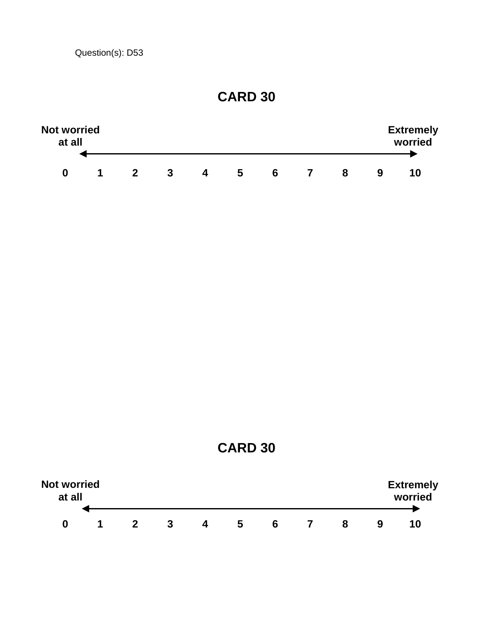Question(s): D53





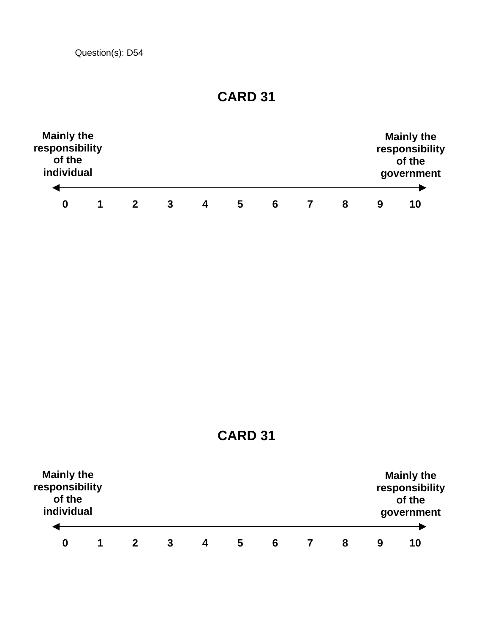Question(s): D54

| <b>Mainly the</b><br>responsibility<br>of the<br>individual |  |   |    |   |   |   |   | <b>Mainly the</b><br>responsibility<br>of the<br>government |
|-------------------------------------------------------------|--|---|----|---|---|---|---|-------------------------------------------------------------|
| 0                                                           |  | 3 | Δ. | 5 | 6 | 8 | 9 | 10                                                          |

**CARD 31** 

| <b>Mainly the</b><br>responsibility<br>of the<br>individual |  |   |   |   |   |   | <b>Mainly the</b><br>responsibility<br>of the<br>government |
|-------------------------------------------------------------|--|---|---|---|---|---|-------------------------------------------------------------|
| 0                                                           |  | 4 | 5 | 6 | 8 | 9 | 10                                                          |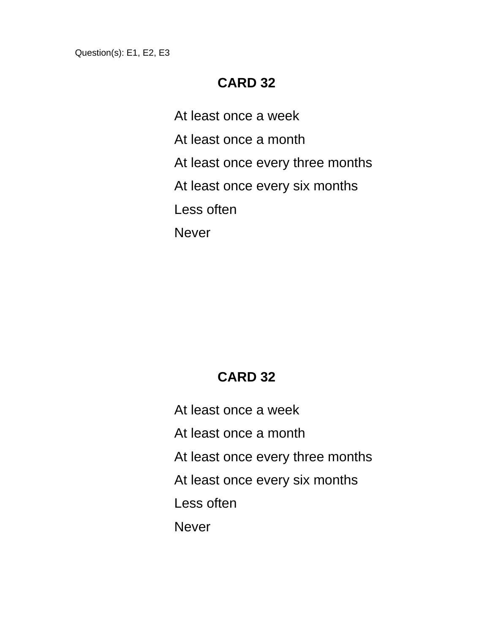Question(s): E1, E2, E3

#### **CARD 32**

At least once a week

At least once a month

At least once every three months

At least once every six months

Less often

Never

#### **CARD 32**

At least once a week At least once a month At least once every three months At least once every six months Less often **Never**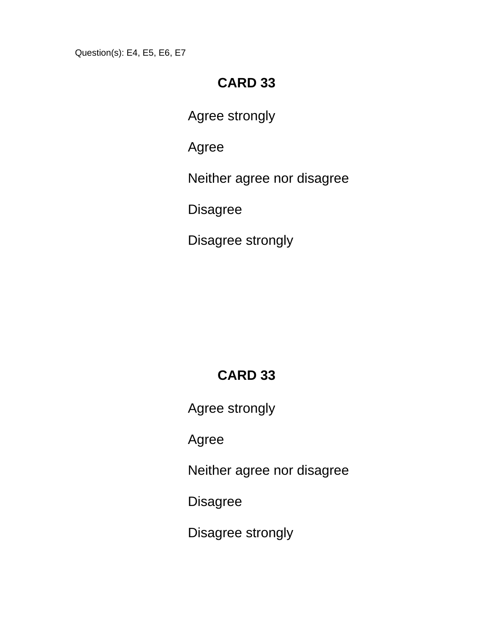Question(s): E4, E5, E6, E7

## **CARD 33**

Agree strongly

Agree

Neither agree nor disagree

**Disagree** 

Disagree strongly

# **CARD 33**

Agree strongly

Agree

Neither agree nor disagree

**Disagree** 

Disagree strongly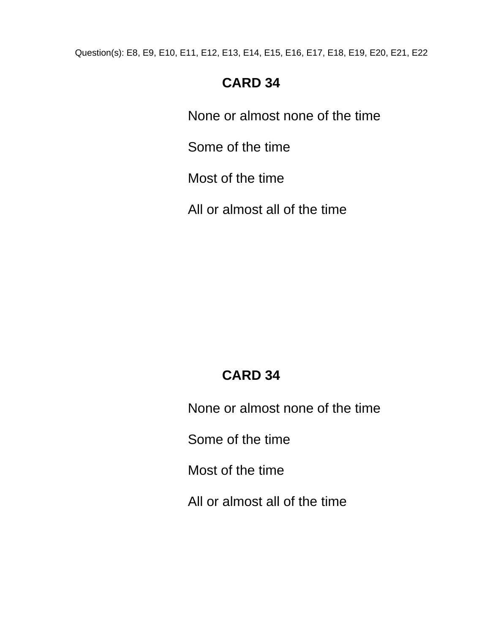Question(s): E8, E9, E10, E11, E12, E13, E14, E15, E16, E17, E18, E19, E20, E21, E22

# **CARD 34**

None or almost none of the time

Some of the time

Most of the time

All or almost all of the time

# **CARD 34**

None or almost none of the time

Some of the time

Most of the time

All or almost all of the time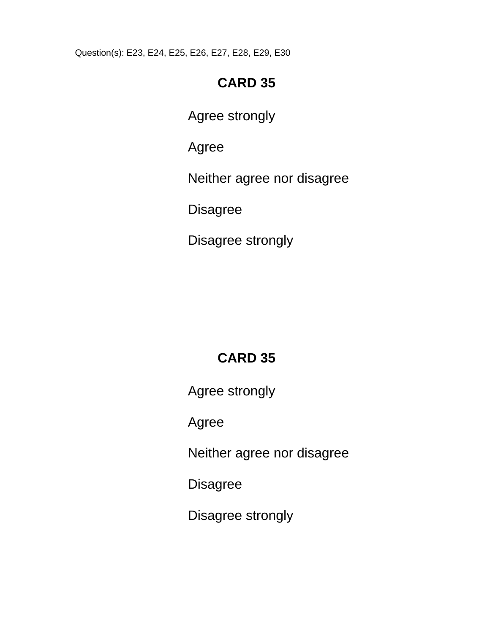Question(s): E23, E24, E25, E26, E27, E28, E29, E30

# **CARD 35**

Agree strongly

Agree

Neither agree nor disagree

**Disagree** 

Disagree strongly

# **CARD 35**

Agree strongly

Agree

Neither agree nor disagree

Disagree

Disagree strongly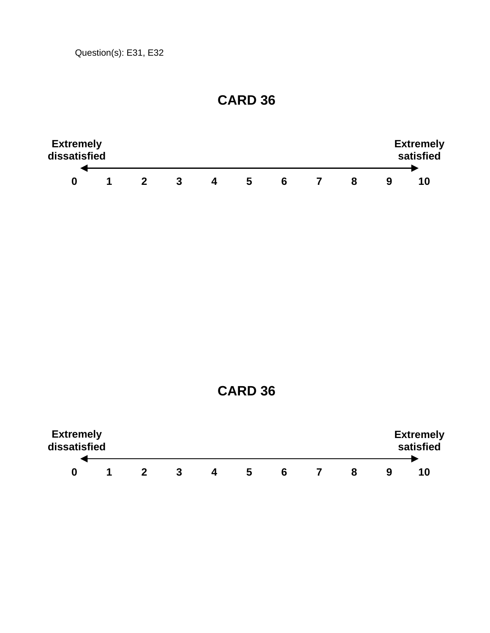Question(s): E31, E32

#### **CARD 36**



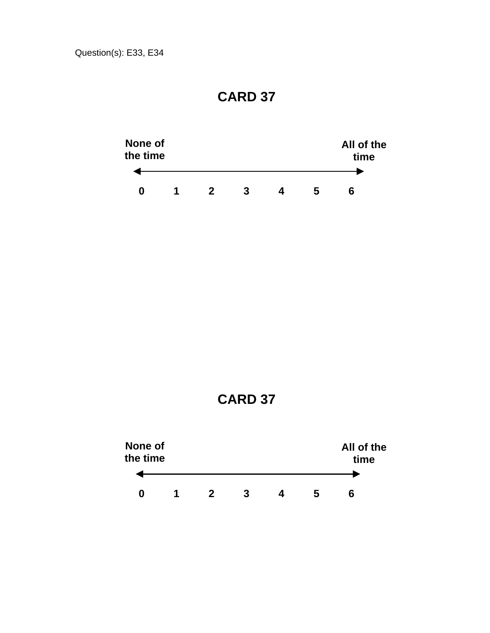

**CARD 37** 

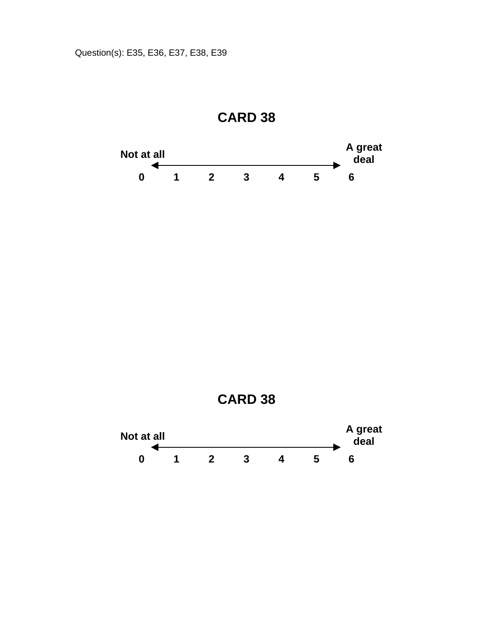

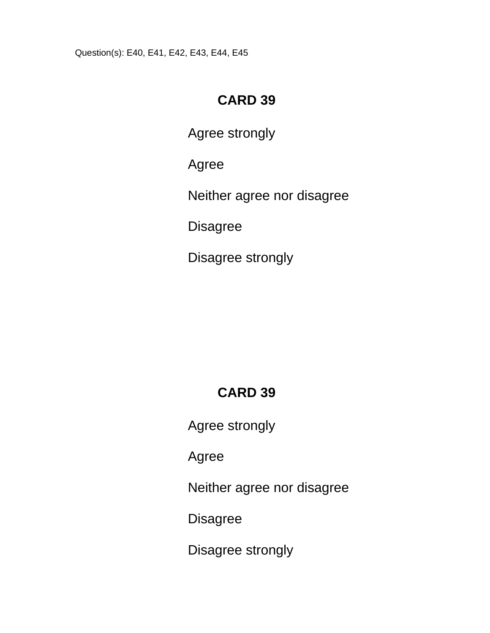Question(s): E40, E41, E42, E43, E44, E45

## **CARD 39**

Agree strongly

Agree

Neither agree nor disagree

Disagree

Disagree strongly

# **CARD 39**

Agree strongly

Agree

Neither agree nor disagree

**Disagree** 

Disagree strongly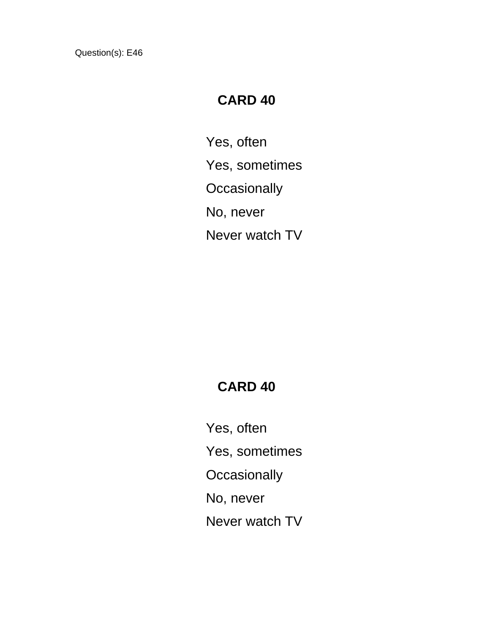## **CARD 40**

Yes, often Yes, sometimes **Occasionally** No, never Never watch TV

## **CARD 40**

Yes, often Yes, sometimes **Occasionally** No, never Never watch TV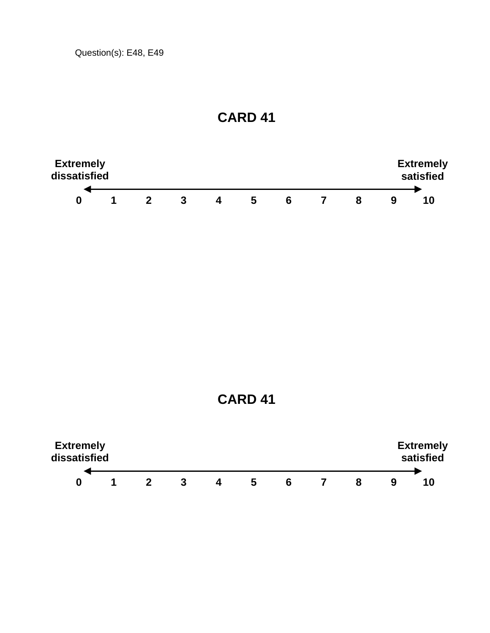

**CARD 41** 

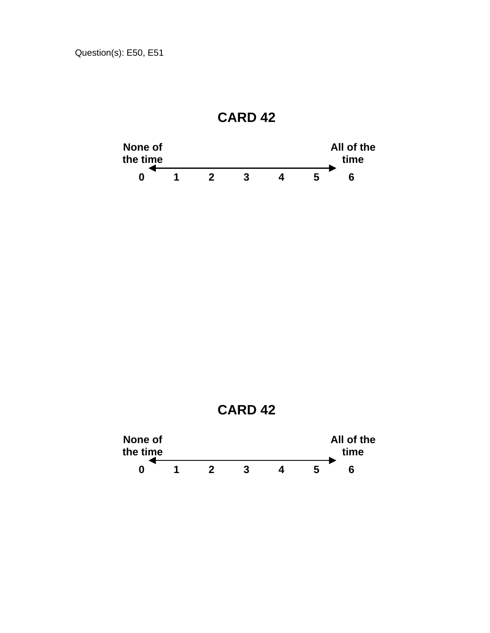

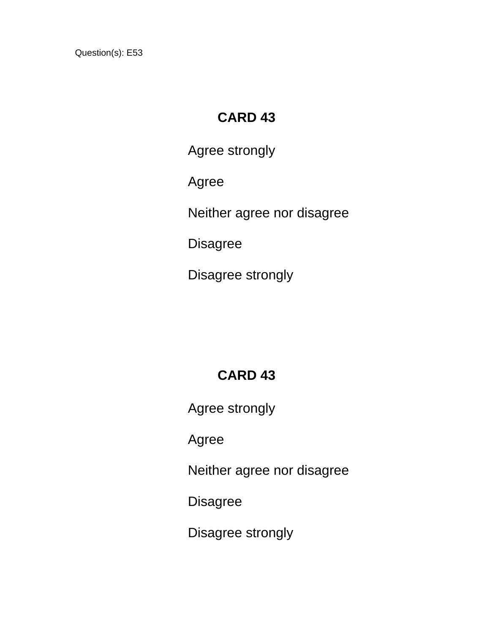# **CARD 43**

Agree strongly

Agree

Neither agree nor disagree

Disagree

Disagree strongly

# **CARD 43**

Agree strongly

Agree

Neither agree nor disagree

**Disagree** 

Disagree strongly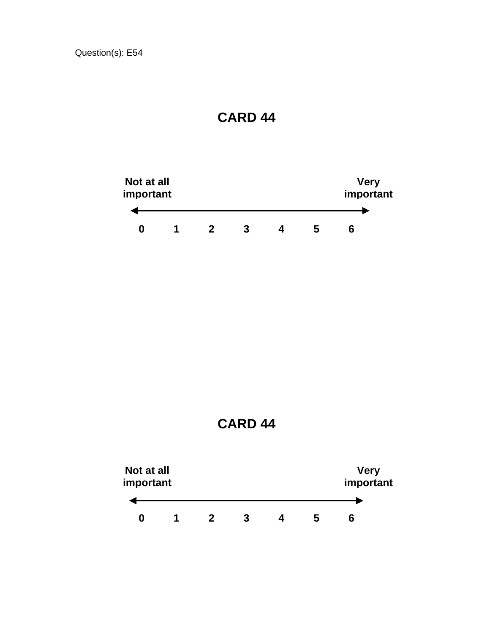



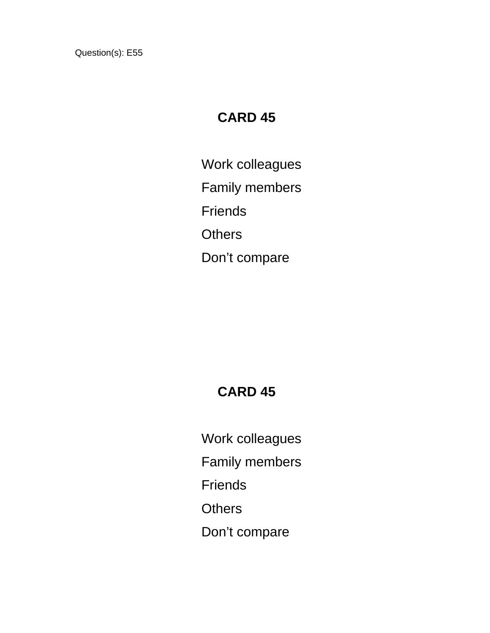# **CARD 45**

Work colleagues Family members **Friends Others** Don't compare

## **CARD 45**

Work colleagues

Family members

**Friends** 

**Others** 

Don't compare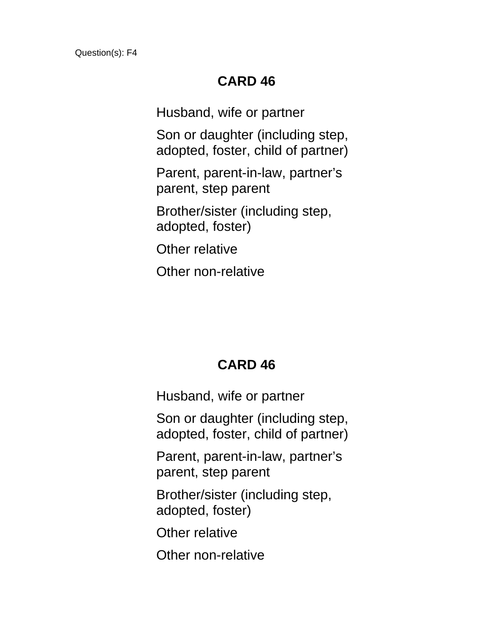Husband, wife or partner

Son or daughter (including step, adopted, foster, child of partner)

Parent, parent-in-law, partner's parent, step parent

Brother/sister (including step, adopted, foster)

Other relative

Other non-relative

### **CARD 46**

Husband, wife or partner

Son or daughter (including step, adopted, foster, child of partner)

Parent, parent-in-law, partner's parent, step parent

Brother/sister (including step, adopted, foster)

Other relative

Other non-relative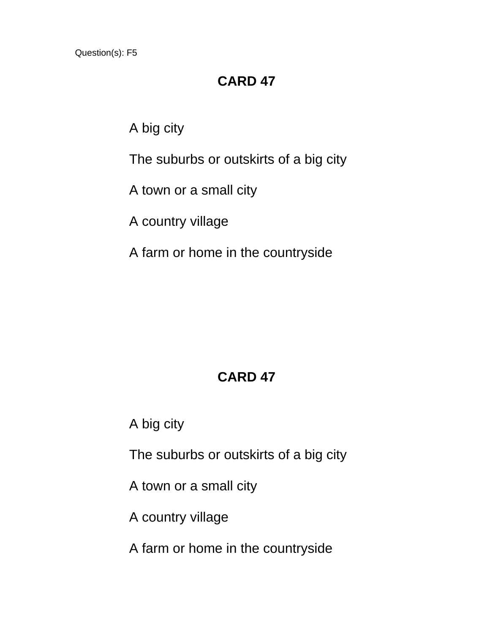#### **CARD 47**

A big city

The suburbs or outskirts of a big city

A town or a small city

A country village

A farm or home in the countryside

# **CARD 47**

A big city

The suburbs or outskirts of a big city

A town or a small city

A country village

A farm or home in the countryside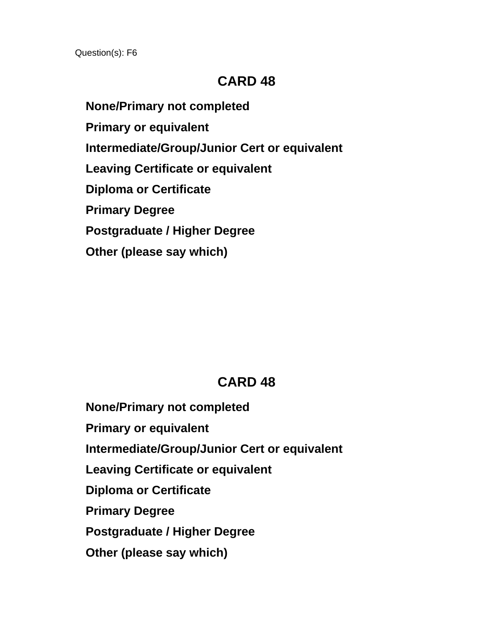**None/Primary not completed Primary or equivalent Intermediate/Group/Junior Cert or equivalent Leaving Certificate or equivalent Diploma or Certificate Primary Degree Postgraduate / Higher Degree Other (please say which)**

### **CARD 48**

 **None/Primary not completed Primary or equivalent Intermediate/Group/Junior Cert or equivalent Leaving Certificate or equivalent Diploma or Certificate Primary Degree Postgraduate / Higher Degree Other (please say which)**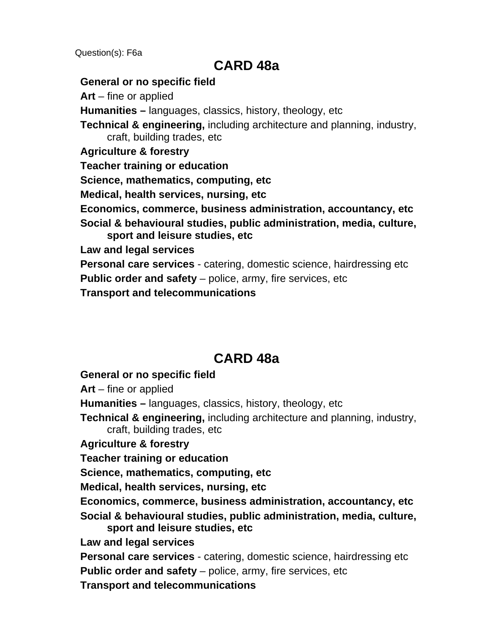#### **CARD 48a**

#### **General or no specific field**

**Art** – fine or applied **Humanities –** languages, classics, history, theology, etc **Technical & engineering,** including architecture and planning, industry, craft, building trades, etc **Agriculture & forestry Teacher training or education Science, mathematics, computing, etc Medical, health services, nursing, etc Economics, commerce, business administration, accountancy, etc Social & behavioural studies, public administration, media, culture, sport and leisure studies, etc Law and legal services Personal care services** - catering, domestic science, hairdressing etc **Public order and safety** – police, army, fire services, etc **Transport and telecommunications** 

### **CARD 48a**

#### **General or no specific field**

**Art** – fine or applied

**Humanities –** languages, classics, history, theology, etc

**Technical & engineering,** including architecture and planning, industry, craft, building trades, etc

**Agriculture & forestry** 

**Teacher training or education** 

**Science, mathematics, computing, etc** 

**Medical, health services, nursing, etc** 

**Economics, commerce, business administration, accountancy, etc** 

**Social & behavioural studies, public administration, media, culture, sport and leisure studies, etc** 

**Law and legal services** 

**Personal care services** - catering, domestic science, hairdressing etc

**Public order and safety** – police, army, fire services, etc

**Transport and telecommunications**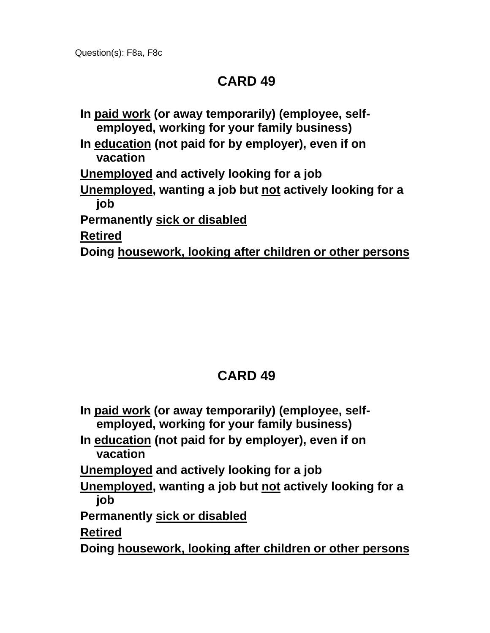**In paid work (or away temporarily) (employee, selfemployed, working for your family business) In education (not paid for by employer), even if on vacation Unemployed and actively looking for a job Unemployed, wanting a job but not actively looking for a job Permanently sick or disabled Retired Doing housework, looking after children or other persons**

| In paid work (or away temporarily) (employee, self-<br>employed, working for your family business) |
|----------------------------------------------------------------------------------------------------|
| In education (not paid for by employer), even if on<br>vacation                                    |
| Unemployed and actively looking for a job                                                          |
| Unemployed, wanting a job but not actively looking for a<br>job                                    |
| <b>Permanently sick or disabled</b>                                                                |
| <b>Retired</b>                                                                                     |
| Doing housework, looking after children or other persons                                           |
|                                                                                                    |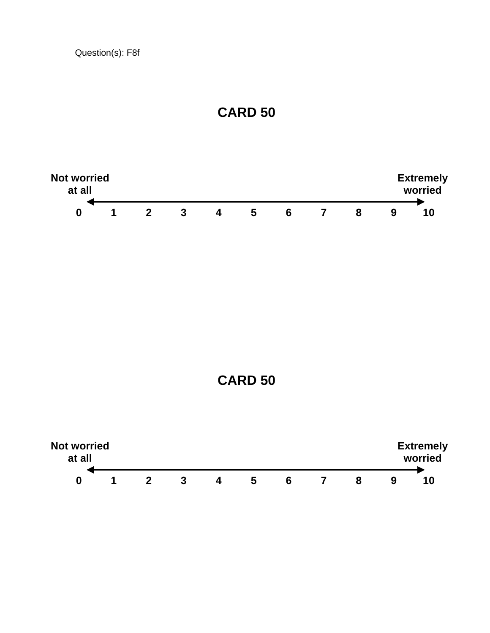





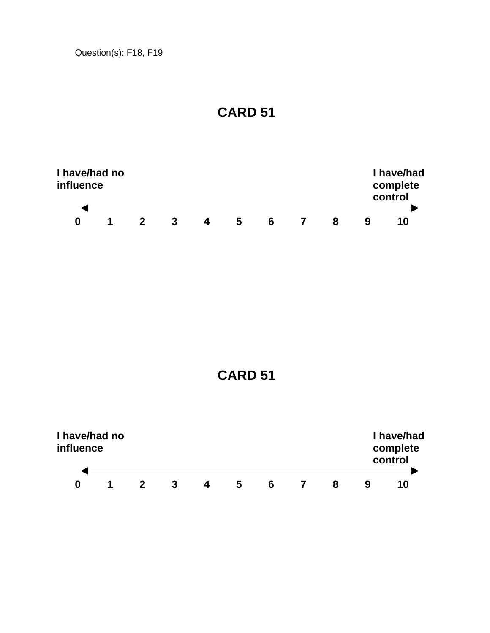





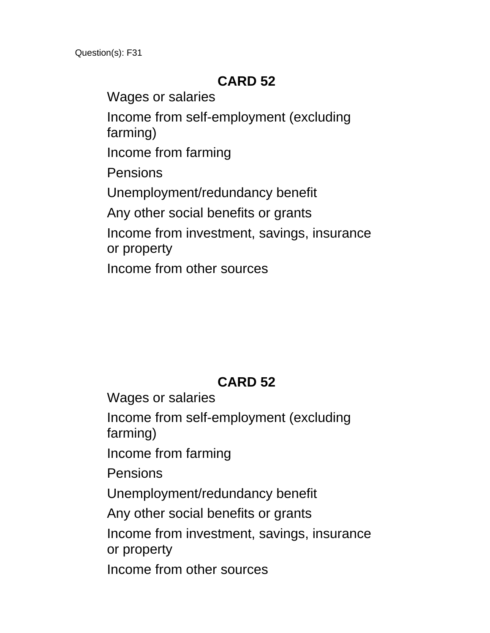Wages or salaries Income from self-employment (excluding farming) Income from farming Pensions Unemployment/redundancy benefit Any other social benefits or grants Income from investment, savings, insurance or property Income from other sources

# **CARD 52**

Wages or salaries Income from self-employment (excluding farming) Income from farming Pensions Unemployment/redundancy benefit Any other social benefits or grants Income from investment, savings, insurance or property Income from other sources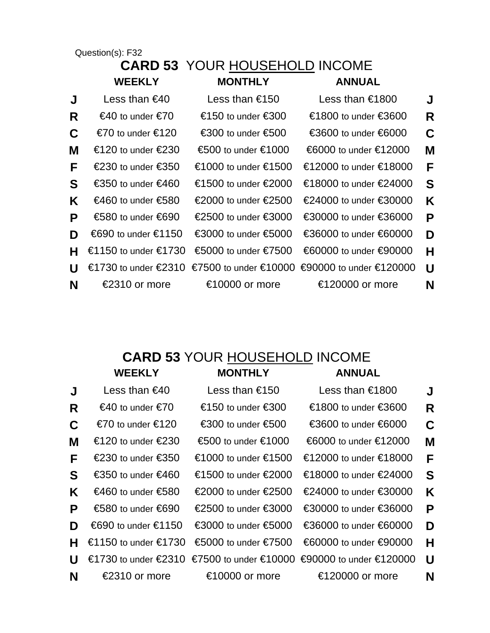#### **CARD 53** YOUR HOUSEHOLD INCOME  **WEEKLY MONTHLY ANNUAL**

| J  | Less than $\epsilon$ 40 | Less than €150                          | Less than €1800                               | J |
|----|-------------------------|-----------------------------------------|-----------------------------------------------|---|
| R  | €40 to under €70        | €150 to under €300                      | €1800 to under €3600                          | R |
| C  | $€70$ to under $€120$   | €300 to under €500                      | €3600 to under €6000                          | C |
| М  | €120 to under €230      | $\epsilon$ 500 to under $\epsilon$ 1000 | €6000 to under €12000                         | M |
| F  | €230 to under €350      | €1000 to under €1500                    | €12000 to under €18000                        | F |
| S  | €350 to under €460      | €1500 to under €2000                    | €18000 to under €24000                        | S |
| K. | €460 to under €580      | €2000 to under €2500                    | €24000 to under €30000                        | K |
| P  | €580 to under €690      | €2500 to under €3000                    | €30000 to under €36000                        | P |
| D  | €690 to under €1150     | €3000 to under €5000                    | €36000 to under €60000                        | D |
| н  | €1150 to under €1730    | €5000 to under €7500                    | €60000 to under €90000                        | н |
| U  | €1730 to under €2310    |                                         | €7500 to under €10000 €90000 to under €120000 | U |
| N  | €2310 or more           | €10000 or more                          | €120000 or more                               | N |
|    |                         |                                         |                                               |   |

#### **CARD 53** YOUR HOUSEHOLD INCOME  **WEEKLY MONTHLY ANNUAL**

| J  | Less than $\epsilon$ 40 | Less than €150                         | Less than €1800                               | J |
|----|-------------------------|----------------------------------------|-----------------------------------------------|---|
| R  | €40 to under €70        | €150 to under €300                     | €1800 to under €3600                          | R |
| C  | €70 to under €120       | $\epsilon$ 300 to under $\epsilon$ 500 | €3600 to under €6000                          | C |
| М  | $€120$ to under $€230$  | €500 to under €1000                    | €6000 to under €12000                         | M |
| F. | €230 to under €350      | €1000 to under €1500                   | €12000 to under €18000                        | F |
| S  | €350 to under €460      | €1500 to under €2000                   | €18000 to under €24000                        | S |
| K  | €460 to under €580      | €2000 to under €2500                   | €24000 to under €30000                        | K |
| P  | €580 to under €690      | €2500 to under €3000                   | €30000 to under €36000                        | P |
| D  | €690 to under €1150     | €3000 to under €5000                   | €36000 to under €60000                        | D |
| н  | €1150 to under €1730    | €5000 to under €7500                   | €60000 to under €90000                        | н |
| U  | €1730 to under €2310    |                                        | €7500 to under €10000 €90000 to under €120000 | U |
| N  | €2310 or more           | €10000 or more                         | €120000 or more                               | N |
|    |                         |                                        |                                               |   |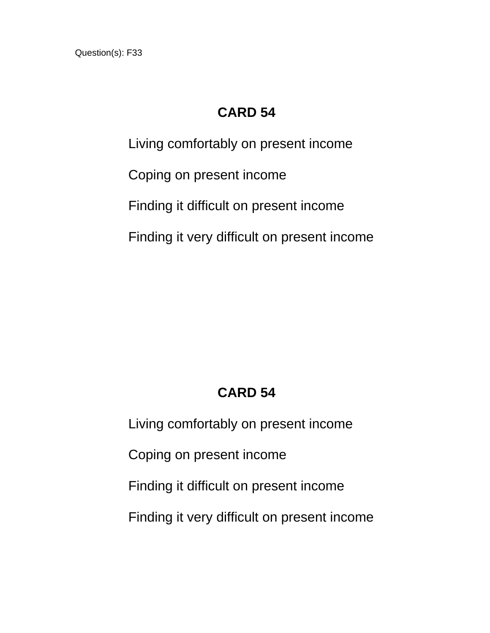#### **CARD 54**

Living comfortably on present income Coping on present income Finding it difficult on present income Finding it very difficult on present income

# **CARD 54**

Living comfortably on present income Coping on present income Finding it difficult on present income Finding it very difficult on present income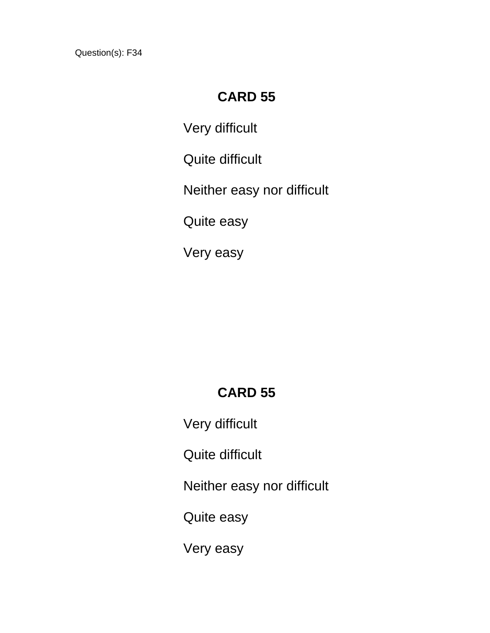#### **CARD 55**

Very difficult

Quite difficult

Neither easy nor difficult

Quite easy

Very easy

# **CARD 55**

Very difficult

Quite difficult

Neither easy nor difficult

Quite easy

Very easy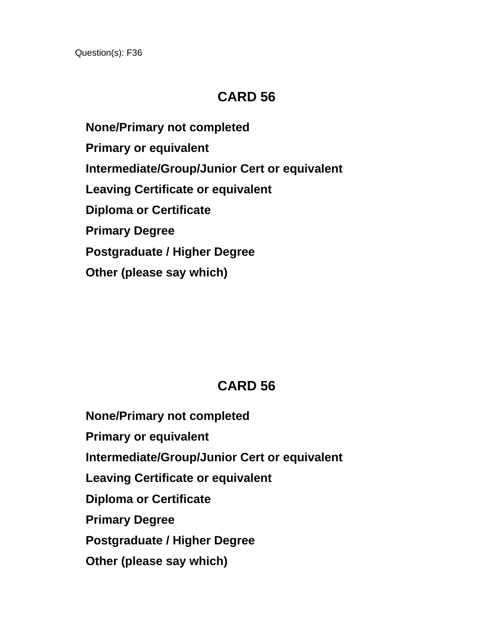## **CARD 56**

 **None/Primary not completed Primary or equivalent Intermediate/Group/Junior Cert or equivalent Leaving Certificate or equivalent Diploma or Certificate Primary Degree Postgraduate / Higher Degree Other (please say which)**

# **CARD 56**

 **None/Primary not completed Primary or equivalent Intermediate/Group/Junior Cert or equivalent Leaving Certificate or equivalent Diploma or Certificate Primary Degree Postgraduate / Higher Degree Other (please say which)**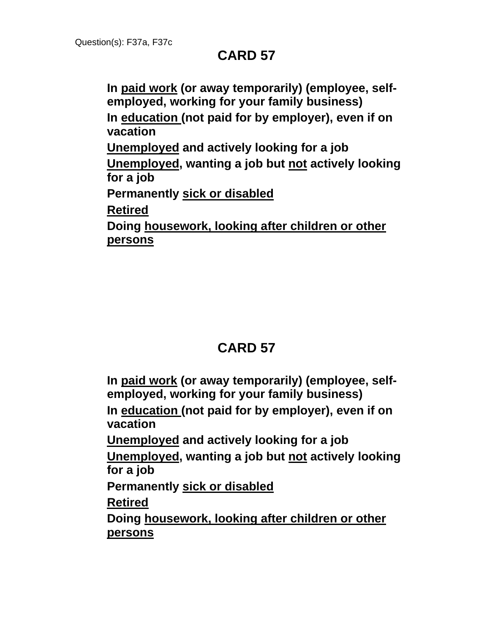**In paid work (or away temporarily) (employee, selfemployed, working for your family business) In education (not paid for by employer), even if on vacation Unemployed and actively looking for a job Unemployed, wanting a job but not actively looking for a job Permanently sick or disabled Retired Doing housework, looking after children or other persons**

# **CARD 57**

**In paid work (or away temporarily) (employee, selfemployed, working for your family business) In education (not paid for by employer), even if on vacation Unemployed and actively looking for a job Unemployed, wanting a job but not actively looking for a job Permanently sick or disabled Retired Doing housework, looking after children or other persons**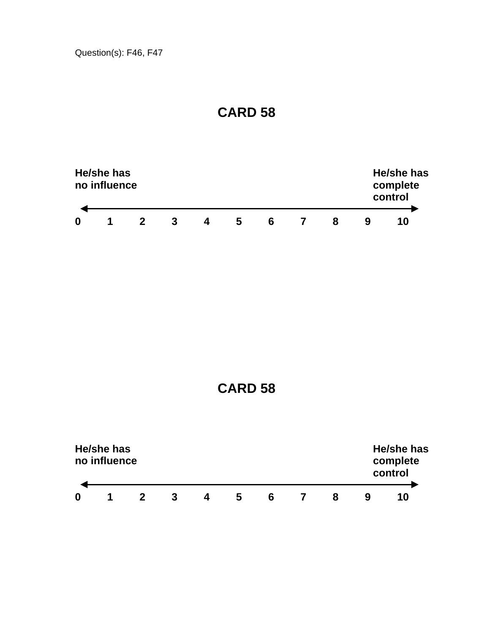

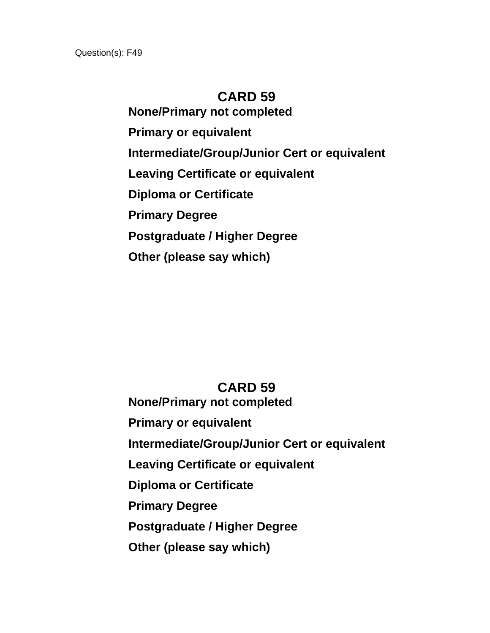**None/Primary not completed Primary or equivalent Intermediate/Group/Junior Cert or equivalent Leaving Certificate or equivalent Diploma or Certificate Primary Degree Postgraduate / Higher Degree Other (please say which)**

#### **CARD 59**

 **None/Primary not completed Primary or equivalent Intermediate/Group/Junior Cert or equivalent Leaving Certificate or equivalent Diploma or Certificate Primary Degree Postgraduate / Higher Degree Other (please say which)**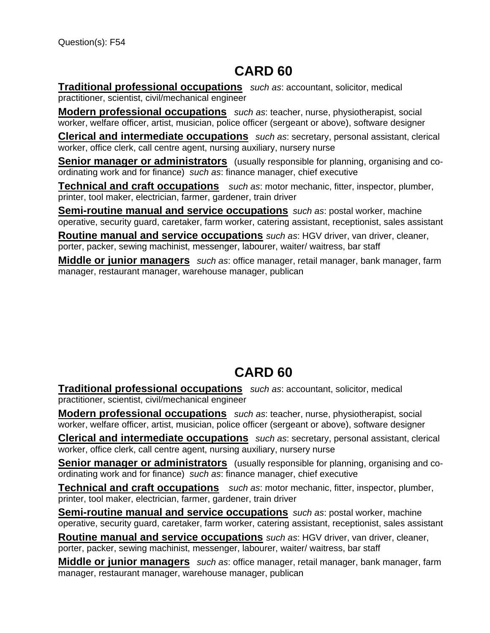**Traditional professional occupations** *such as*: accountant, solicitor, medical practitioner, scientist, civil/mechanical engineer

**Modern professional occupations** *such as*: teacher, nurse, physiotherapist, social worker, welfare officer, artist, musician, police officer (sergeant or above), software designer

**Clerical and intermediate occupations** *such as*: secretary, personal assistant, clerical worker, office clerk, call centre agent, nursing auxiliary, nursery nurse

**Senior manager or administrators** (usually responsible for planning, organising and coordinating work and for finance) *such as*: finance manager, chief executive

**Technical and craft occupations** *such as*: motor mechanic, fitter, inspector, plumber, printer, tool maker, electrician, farmer, gardener, train driver

**Semi-routine manual and service occupations** *such as*: postal worker, machine operative, security guard, caretaker, farm worker, catering assistant, receptionist, sales assistant

**Routine manual and service occupations** *such as*: HGV driver, van driver, cleaner, porter, packer, sewing machinist, messenger, labourer, waiter/ waitress, bar staff

**Middle or junior managers** *such as*: office manager, retail manager, bank manager, farm manager, restaurant manager, warehouse manager, publican

# **CARD 60**

**Traditional professional occupations** *such as*: accountant, solicitor, medical practitioner, scientist, civil/mechanical engineer

**Modern professional occupations** *such as*: teacher, nurse, physiotherapist, social worker, welfare officer, artist, musician, police officer (sergeant or above), software designer

**Clerical and intermediate occupations** *such as*: secretary, personal assistant, clerical worker, office clerk, call centre agent, nursing auxiliary, nursery nurse

**Senior manager or administrators** (usually responsible for planning, organising and coordinating work and for finance) *such as*: finance manager, chief executive

**Technical and craft occupations** *such as*: motor mechanic, fitter, inspector, plumber, printer, tool maker, electrician, farmer, gardener, train driver

**Semi-routine manual and service occupations** *such as*: postal worker, machine operative, security guard, caretaker, farm worker, catering assistant, receptionist, sales assistant

**Routine manual and service occupations** *such as*: HGV driver, van driver, cleaner, porter, packer, sewing machinist, messenger, labourer, waiter/ waitress, bar staff

**Middle or junior managers** *such as*: office manager, retail manager, bank manager, farm manager, restaurant manager, warehouse manager, publican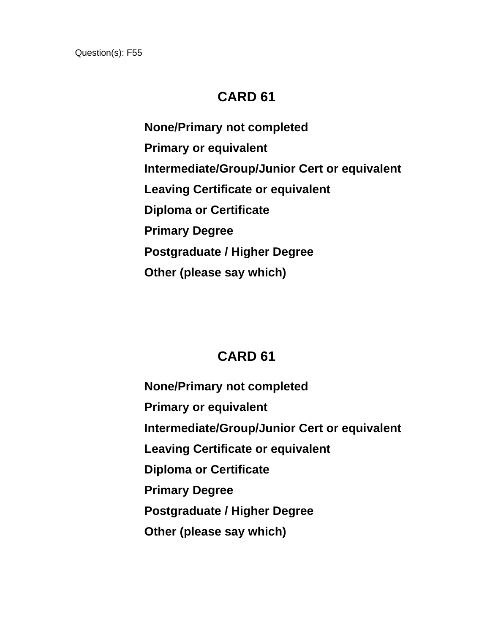**None/Primary not completed Primary or equivalent Intermediate/Group/Junior Cert or equivalent Leaving Certificate or equivalent Diploma or Certificate Primary Degree Postgraduate / Higher Degree Other (please say which)**

# **CARD 61**

 **None/Primary not completed Primary or equivalent Intermediate/Group/Junior Cert or equivalent Leaving Certificate or equivalent Diploma or Certificate Primary Degree Postgraduate / Higher Degree Other (please say which)**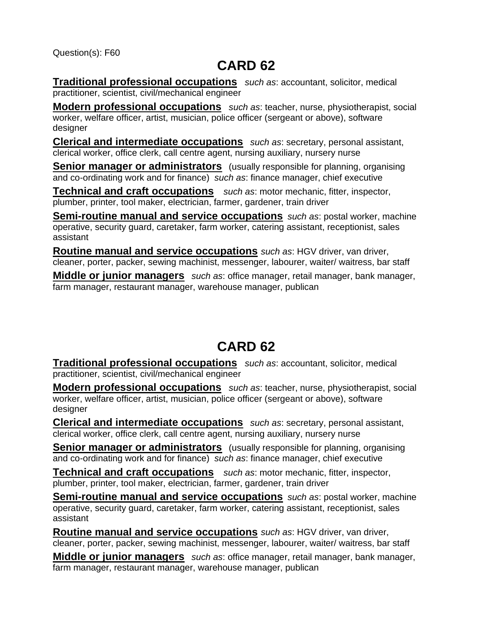**Traditional professional occupations** *such as*: accountant, solicitor, medical practitioner, scientist, civil/mechanical engineer

**Modern professional occupations** *such as*: teacher, nurse, physiotherapist, social worker, welfare officer, artist, musician, police officer (sergeant or above), software designer

**Clerical and intermediate occupations** *such as*: secretary, personal assistant, clerical worker, office clerk, call centre agent, nursing auxiliary, nursery nurse

**Senior manager or administrators** (usually responsible for planning, organising and co-ordinating work and for finance) *such as*: finance manager, chief executive

**Technical and craft occupations** *such as*: motor mechanic, fitter, inspector, plumber, printer, tool maker, electrician, farmer, gardener, train driver

**Semi-routine manual and service occupations** *such as*: postal worker, machine operative, security guard, caretaker, farm worker, catering assistant, receptionist, sales assistant

**Routine manual and service occupations** *such as*: HGV driver, van driver, cleaner, porter, packer, sewing machinist, messenger, labourer, waiter/ waitress, bar staff

**Middle or junior managers** *such as*: office manager, retail manager, bank manager, farm manager, restaurant manager, warehouse manager, publican

# **CARD 62**

**Traditional professional occupations** *such as*: accountant, solicitor, medical practitioner, scientist, civil/mechanical engineer

**Modern professional occupations** *such as*: teacher, nurse, physiotherapist, social worker, welfare officer, artist, musician, police officer (sergeant or above), software designer

**Clerical and intermediate occupations** *such as*: secretary, personal assistant, clerical worker, office clerk, call centre agent, nursing auxiliary, nursery nurse

**Senior manager or administrators** (usually responsible for planning, organising and co-ordinating work and for finance) *such as*: finance manager, chief executive

**Technical and craft occupations** *such as*: motor mechanic, fitter, inspector, plumber, printer, tool maker, electrician, farmer, gardener, train driver

**Semi-routine manual and service occupations** *such as*: postal worker, machine operative, security guard, caretaker, farm worker, catering assistant, receptionist, sales assistant

**Routine manual and service occupations** *such as*: HGV driver, van driver, cleaner, porter, packer, sewing machinist, messenger, labourer, waiter/ waitress, bar staff

**Middle or junior managers** *such as*: office manager, retail manager, bank manager, farm manager, restaurant manager, warehouse manager, publican